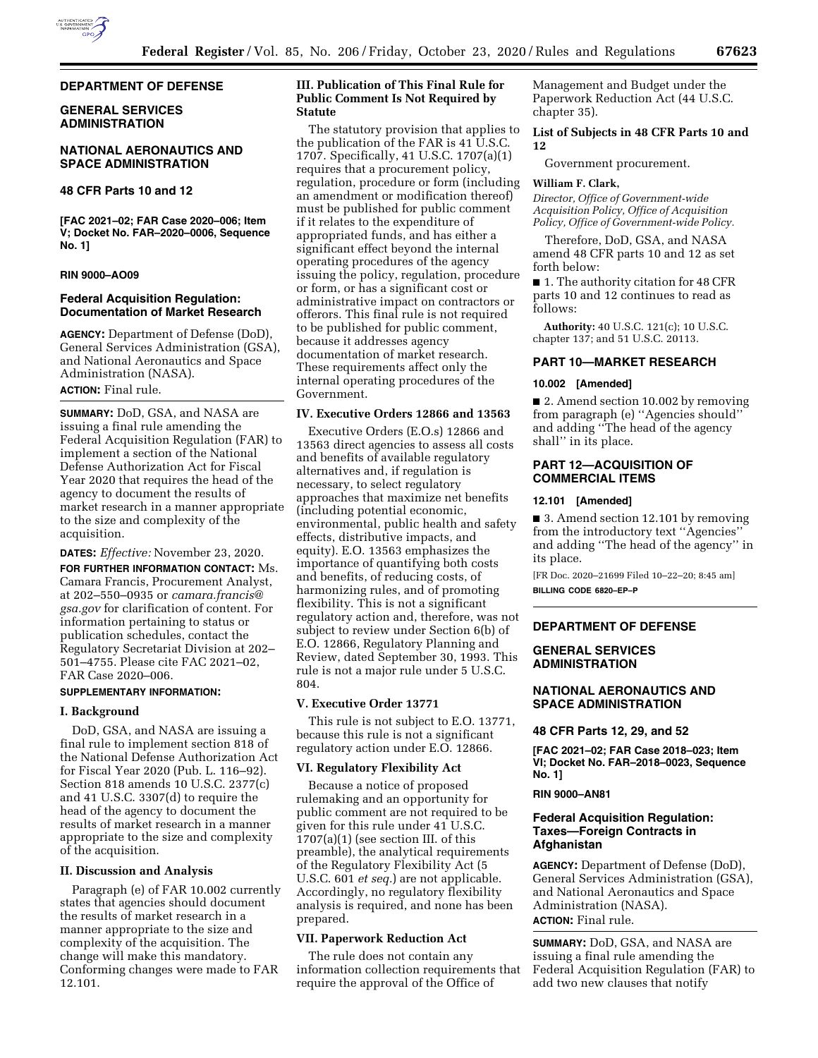

#### **DEPARTMENT OF DEFENSE**

## **GENERAL SERVICES ADMINISTRATION**

### **NATIONAL AERONAUTICS AND SPACE ADMINISTRATION**

# **48 CFR Parts 10 and 12**

**[FAC 2021–02; FAR Case 2020–006; Item V; Docket No. FAR–2020–0006, Sequence No. 1]** 

### **RIN 9000–AO09**

# **Federal Acquisition Regulation: Documentation of Market Research**

**AGENCY:** Department of Defense (DoD), General Services Administration (GSA), and National Aeronautics and Space Administration (NASA).

# **ACTION:** Final rule.

**SUMMARY:** DoD, GSA, and NASA are issuing a final rule amending the Federal Acquisition Regulation (FAR) to implement a section of the National Defense Authorization Act for Fiscal Year 2020 that requires the head of the agency to document the results of market research in a manner appropriate to the size and complexity of the acquisition.

**DATES:** *Effective:* November 23, 2020.

**FOR FURTHER INFORMATION CONTACT:** Ms. Camara Francis, Procurement Analyst, at 202–550–0935 or *[camara.francis@](mailto:camara.francis@gsa.gov) [gsa.gov](mailto:camara.francis@gsa.gov)* for clarification of content. For information pertaining to status or publication schedules, contact the Regulatory Secretariat Division at 202– 501–4755. Please cite FAC 2021–02, FAR Case 2020–006.

## **SUPPLEMENTARY INFORMATION:**

## **I. Background**

DoD, GSA, and NASA are issuing a final rule to implement section 818 of the National Defense Authorization Act for Fiscal Year 2020 (Pub. L. 116–92). Section 818 amends 10 U.S.C. 2377(c) and 41 U.S.C. 3307(d) to require the head of the agency to document the results of market research in a manner appropriate to the size and complexity of the acquisition.

### **II. Discussion and Analysis**

Paragraph (e) of FAR 10.002 currently states that agencies should document the results of market research in a manner appropriate to the size and complexity of the acquisition. The change will make this mandatory. Conforming changes were made to FAR 12.101.

## **III. Publication of This Final Rule for Public Comment Is Not Required by Statute**

The statutory provision that applies to the publication of the FAR is 41 U.S.C. 1707. Specifically, 41 U.S.C. 1707(a)(1) requires that a procurement policy, regulation, procedure or form (including an amendment or modification thereof) must be published for public comment if it relates to the expenditure of appropriated funds, and has either a significant effect beyond the internal operating procedures of the agency issuing the policy, regulation, procedure or form, or has a significant cost or administrative impact on contractors or offerors. This final rule is not required to be published for public comment, because it addresses agency documentation of market research. These requirements affect only the internal operating procedures of the Government.

### **IV. Executive Orders 12866 and 13563**

Executive Orders (E.O.s) 12866 and 13563 direct agencies to assess all costs and benefits of available regulatory alternatives and, if regulation is necessary, to select regulatory approaches that maximize net benefits (including potential economic, environmental, public health and safety effects, distributive impacts, and equity). E.O. 13563 emphasizes the importance of quantifying both costs and benefits, of reducing costs, of harmonizing rules, and of promoting flexibility. This is not a significant regulatory action and, therefore, was not subject to review under Section 6(b) of E.O. 12866, Regulatory Planning and Review, dated September 30, 1993. This rule is not a major rule under 5 U.S.C. 804.

#### **V. Executive Order 13771**

This rule is not subject to E.O. 13771, because this rule is not a significant regulatory action under E.O. 12866.

### **VI. Regulatory Flexibility Act**

Because a notice of proposed rulemaking and an opportunity for public comment are not required to be given for this rule under 41 U.S.C.  $1707(a)(1)$  (see section III. of this preamble), the analytical requirements of the Regulatory Flexibility Act (5 U.S.C. 601 *et seq.*) are not applicable. Accordingly, no regulatory flexibility analysis is required, and none has been prepared.

## **VII. Paperwork Reduction Act**

The rule does not contain any information collection requirements that require the approval of the Office of

Management and Budget under the Paperwork Reduction Act (44 U.S.C. chapter 35).

#### **List of Subjects in 48 CFR Parts 10 and 12**

Government procurement.

## **William F. Clark,**

*Director, Office of Government-wide Acquisition Policy, Office of Acquisition Policy, Office of Government-wide Policy.* 

Therefore, DoD, GSA, and NASA amend 48 CFR parts 10 and 12 as set forth below:

■ 1. The authority citation for 48 CFR parts 10 and 12 continues to read as follows:

**Authority:** 40 U.S.C. 121(c); 10 U.S.C. chapter 137; and 51 U.S.C. 20113.

#### **PART 10—MARKET RESEARCH**

#### **10.002 [Amended]**

■ 2. Amend section 10.002 by removing from paragraph (e) ''Agencies should'' and adding ''The head of the agency shall'' in its place.

## **PART 12—ACQUISITION OF COMMERCIAL ITEMS**

## **12.101 [Amended]**

■ 3. Amend section 12.101 by removing from the introductory text ''Agencies'' and adding ''The head of the agency'' in its place.

[FR Doc. 2020–21699 Filed 10–22–20; 8:45 am] **BILLING CODE 6820–EP–P** 

## **DEPARTMENT OF DEFENSE**

### **GENERAL SERVICES ADMINISTRATION**

# **NATIONAL AERONAUTICS AND SPACE ADMINISTRATION**

#### **48 CFR Parts 12, 29, and 52**

**[FAC 2021–02; FAR Case 2018–023; Item VI; Docket No. FAR–2018–0023, Sequence No. 1]** 

## **RIN 9000–AN81**

## **Federal Acquisition Regulation: Taxes—Foreign Contracts in Afghanistan**

**AGENCY:** Department of Defense (DoD), General Services Administration (GSA), and National Aeronautics and Space Administration (NASA). **ACTION:** Final rule.

**SUMMARY:** DoD, GSA, and NASA are issuing a final rule amending the Federal Acquisition Regulation (FAR) to add two new clauses that notify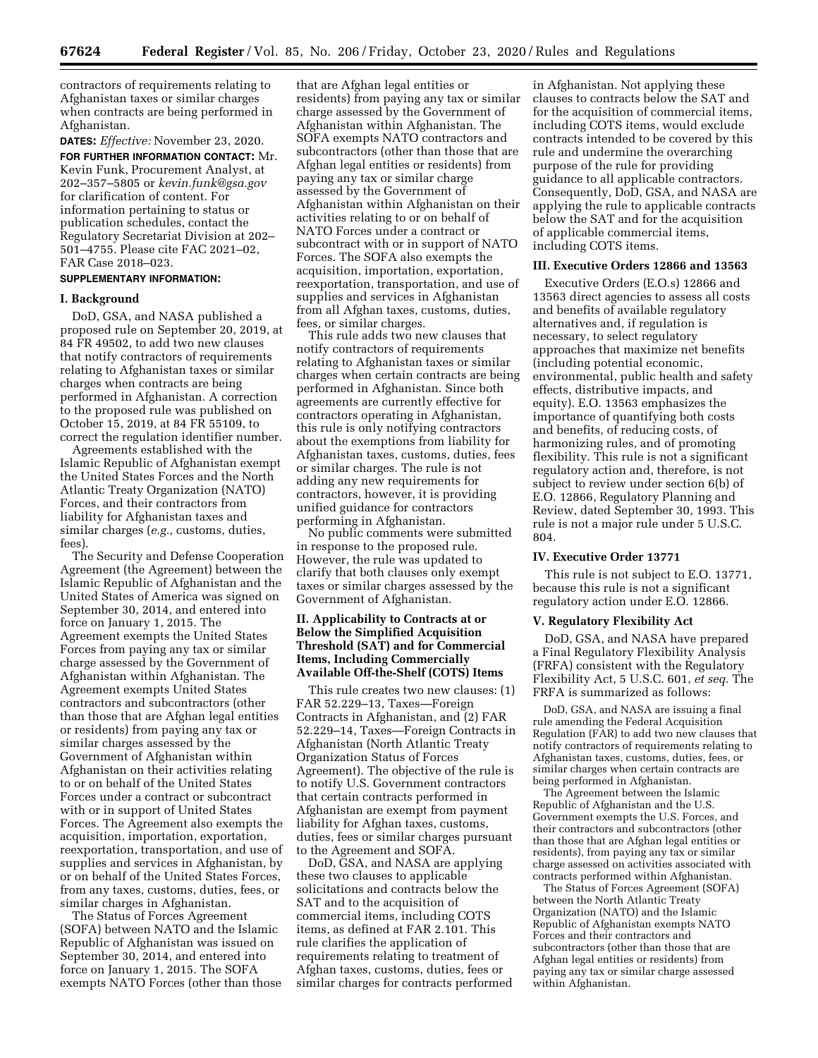contractors of requirements relating to Afghanistan taxes or similar charges when contracts are being performed in Afghanistan.

**DATES:** *Effective:* November 23, 2020. **FOR FURTHER INFORMATION CONTACT:** Mr. Kevin Funk, Procurement Analyst, at 202–357–5805 or *[kevin.funk@gsa.gov](mailto:kevin.funk@gsa.gov)*  for clarification of content. For information pertaining to status or publication schedules, contact the Regulatory Secretariat Division at 202– 501–4755. Please cite FAC 2021–02, FAR Case 2018–023.

# **SUPPLEMENTARY INFORMATION:**

### **I. Background**

DoD, GSA, and NASA published a proposed rule on September 20, 2019, at 84 FR 49502, to add two new clauses that notify contractors of requirements relating to Afghanistan taxes or similar charges when contracts are being performed in Afghanistan. A correction to the proposed rule was published on October 15, 2019, at 84 FR 55109, to correct the regulation identifier number.

Agreements established with the Islamic Republic of Afghanistan exempt the United States Forces and the North Atlantic Treaty Organization (NATO) Forces, and their contractors from liability for Afghanistan taxes and similar charges (*e.g.,* customs, duties, fees).

The Security and Defense Cooperation Agreement (the Agreement) between the Islamic Republic of Afghanistan and the United States of America was signed on September 30, 2014, and entered into force on January 1, 2015. The Agreement exempts the United States Forces from paying any tax or similar charge assessed by the Government of Afghanistan within Afghanistan. The Agreement exempts United States contractors and subcontractors (other than those that are Afghan legal entities or residents) from paying any tax or similar charges assessed by the Government of Afghanistan within Afghanistan on their activities relating to or on behalf of the United States Forces under a contract or subcontract with or in support of United States Forces. The Agreement also exempts the acquisition, importation, exportation, reexportation, transportation, and use of supplies and services in Afghanistan, by or on behalf of the United States Forces, from any taxes, customs, duties, fees, or similar charges in Afghanistan.

The Status of Forces Agreement (SOFA) between NATO and the Islamic Republic of Afghanistan was issued on September 30, 2014, and entered into force on January 1, 2015. The SOFA exempts NATO Forces (other than those

that are Afghan legal entities or residents) from paying any tax or similar charge assessed by the Government of Afghanistan within Afghanistan. The SOFA exempts NATO contractors and subcontractors (other than those that are Afghan legal entities or residents) from paying any tax or similar charge assessed by the Government of Afghanistan within Afghanistan on their activities relating to or on behalf of NATO Forces under a contract or subcontract with or in support of NATO Forces. The SOFA also exempts the acquisition, importation, exportation, reexportation, transportation, and use of supplies and services in Afghanistan from all Afghan taxes, customs, duties, fees, or similar charges.

This rule adds two new clauses that notify contractors of requirements relating to Afghanistan taxes or similar charges when certain contracts are being performed in Afghanistan. Since both agreements are currently effective for contractors operating in Afghanistan, this rule is only notifying contractors about the exemptions from liability for Afghanistan taxes, customs, duties, fees or similar charges. The rule is not adding any new requirements for contractors, however, it is providing unified guidance for contractors performing in Afghanistan.

No public comments were submitted in response to the proposed rule. However, the rule was updated to clarify that both clauses only exempt taxes or similar charges assessed by the Government of Afghanistan.

## **II. Applicability to Contracts at or Below the Simplified Acquisition Threshold (SAT) and for Commercial Items, Including Commercially Available Off-the-Shelf (COTS) Items**

This rule creates two new clauses: (1) FAR 52.229–13, Taxes—Foreign Contracts in Afghanistan, and (2) FAR 52.229–14, Taxes—Foreign Contracts in Afghanistan (North Atlantic Treaty Organization Status of Forces Agreement). The objective of the rule is to notify U.S. Government contractors that certain contracts performed in Afghanistan are exempt from payment liability for Afghan taxes, customs, duties, fees or similar charges pursuant to the Agreement and SOFA.

DoD, GSA, and NASA are applying these two clauses to applicable solicitations and contracts below the SAT and to the acquisition of commercial items, including COTS items, as defined at FAR 2.101. This rule clarifies the application of requirements relating to treatment of Afghan taxes, customs, duties, fees or similar charges for contracts performed

in Afghanistan. Not applying these clauses to contracts below the SAT and for the acquisition of commercial items, including COTS items, would exclude contracts intended to be covered by this rule and undermine the overarching purpose of the rule for providing guidance to all applicable contractors. Consequently, DoD, GSA, and NASA are applying the rule to applicable contracts below the SAT and for the acquisition of applicable commercial items, including COTS items.

#### **III. Executive Orders 12866 and 13563**

Executive Orders (E.O.s) 12866 and 13563 direct agencies to assess all costs and benefits of available regulatory alternatives and, if regulation is necessary, to select regulatory approaches that maximize net benefits (including potential economic, environmental, public health and safety effects, distributive impacts, and equity). E.O. 13563 emphasizes the importance of quantifying both costs and benefits, of reducing costs, of harmonizing rules, and of promoting flexibility. This rule is not a significant regulatory action and, therefore, is not subject to review under section 6(b) of E.O. 12866, Regulatory Planning and Review, dated September 30, 1993. This rule is not a major rule under 5 U.S.C. 804.

### **IV. Executive Order 13771**

This rule is not subject to E.O. 13771, because this rule is not a significant regulatory action under E.O. 12866.

#### **V. Regulatory Flexibility Act**

DoD, GSA, and NASA have prepared a Final Regulatory Flexibility Analysis (FRFA) consistent with the Regulatory Flexibility Act, 5 U.S.C. 601, *et seq.* The FRFA is summarized as follows:

DoD, GSA, and NASA are issuing a final rule amending the Federal Acquisition Regulation (FAR) to add two new clauses that notify contractors of requirements relating to Afghanistan taxes, customs, duties, fees, or similar charges when certain contracts are being performed in Afghanistan.

The Agreement between the Islamic Republic of Afghanistan and the U.S. Government exempts the U.S. Forces, and their contractors and subcontractors (other than those that are Afghan legal entities or residents), from paying any tax or similar charge assessed on activities associated with contracts performed within Afghanistan.

The Status of Forces Agreement (SOFA) between the North Atlantic Treaty Organization (NATO) and the Islamic Republic of Afghanistan exempts NATO Forces and their contractors and subcontractors (other than those that are Afghan legal entities or residents) from paying any tax or similar charge assessed within Afghanistan.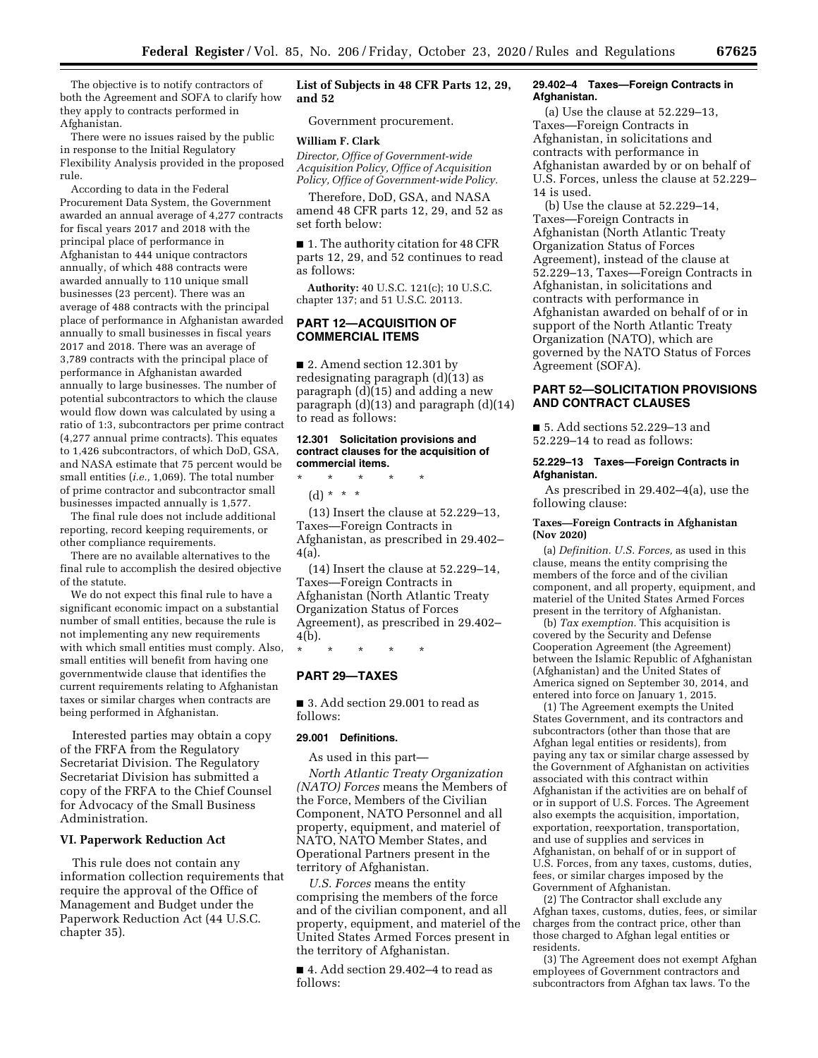The objective is to notify contractors of both the Agreement and SOFA to clarify how they apply to contracts performed in Afghanistan.

There were no issues raised by the public in response to the Initial Regulatory Flexibility Analysis provided in the proposed rule.

According to data in the Federal Procurement Data System, the Government awarded an annual average of 4,277 contracts for fiscal years 2017 and 2018 with the principal place of performance in Afghanistan to 444 unique contractors annually, of which 488 contracts were awarded annually to 110 unique small businesses (23 percent). There was an average of 488 contracts with the principal place of performance in Afghanistan awarded annually to small businesses in fiscal years 2017 and 2018. There was an average of 3,789 contracts with the principal place of performance in Afghanistan awarded annually to large businesses. The number of potential subcontractors to which the clause would flow down was calculated by using a ratio of 1:3, subcontractors per prime contract (4,277 annual prime contracts). This equates to 1,426 subcontractors, of which DoD, GSA, and NASA estimate that 75 percent would be small entities (*i.e.,* 1,069). The total number of prime contractor and subcontractor small businesses impacted annually is 1,577.

The final rule does not include additional reporting, record keeping requirements, or other compliance requirements.

There are no available alternatives to the final rule to accomplish the desired objective of the statute.

We do not expect this final rule to have a significant economic impact on a substantial number of small entities, because the rule is not implementing any new requirements with which small entities must comply. Also, small entities will benefit from having one governmentwide clause that identifies the current requirements relating to Afghanistan taxes or similar charges when contracts are being performed in Afghanistan.

Interested parties may obtain a copy of the FRFA from the Regulatory Secretariat Division. The Regulatory Secretariat Division has submitted a copy of the FRFA to the Chief Counsel for Advocacy of the Small Business Administration.

## **VI. Paperwork Reduction Act**

This rule does not contain any information collection requirements that require the approval of the Office of Management and Budget under the Paperwork Reduction Act (44 U.S.C. chapter 35).

# **List of Subjects in 48 CFR Parts 12, 29, and 52**

Government procurement.

#### **William F. Clark**

*Director, Office of Government-wide Acquisition Policy, Office of Acquisition Policy, Office of Government-wide Policy.* 

Therefore, DoD, GSA, and NASA amend 48 CFR parts 12, 29, and 52 as set forth below:

■ 1. The authority citation for 48 CFR parts 12, 29, and 52 continues to read as follows:

**Authority:** 40 U.S.C. 121(c); 10 U.S.C. chapter 137; and 51 U.S.C. 20113.

## **PART 12—ACQUISITION OF COMMERCIAL ITEMS**

■ 2. Amend section 12.301 by redesignating paragraph (d)(13) as paragraph (d)(15) and adding a new paragraph (d)(13) and paragraph (d)(14) to read as follows:

### **12.301 Solicitation provisions and contract clauses for the acquisition of commercial items.**

\* \* \* \* \*

(d) \* \* \*

(13) Insert the clause at 52.229–13, Taxes—Foreign Contracts in Afghanistan, as prescribed in 29.402– 4(a).

(14) Insert the clause at 52.229–14, Taxes—Foreign Contracts in Afghanistan (North Atlantic Treaty Organization Status of Forces Agreement), as prescribed in 29.402– 4(b).

\* \* \* \* \*

## **PART 29—TAXES**

■ 3. Add section 29.001 to read as follows:

#### **29.001 Definitions.**

As used in this part—

*North Atlantic Treaty Organization (NATO) Forces* means the Members of the Force, Members of the Civilian Component, NATO Personnel and all property, equipment, and materiel of NATO, NATO Member States, and Operational Partners present in the territory of Afghanistan.

*U.S. Forces* means the entity comprising the members of the force and of the civilian component, and all property, equipment, and materiel of the United States Armed Forces present in the territory of Afghanistan.

■ 4. Add section 29.402–4 to read as follows:

#### **29.402–4 Taxes—Foreign Contracts in Afghanistan.**

(a) Use the clause at 52.229–13, Taxes—Foreign Contracts in Afghanistan, in solicitations and contracts with performance in Afghanistan awarded by or on behalf of U.S. Forces, unless the clause at 52.229– 14 is used.

(b) Use the clause at 52.229–14, Taxes—Foreign Contracts in Afghanistan (North Atlantic Treaty Organization Status of Forces Agreement), instead of the clause at 52.229–13, Taxes—Foreign Contracts in Afghanistan, in solicitations and contracts with performance in Afghanistan awarded on behalf of or in support of the North Atlantic Treaty Organization (NATO), which are governed by the NATO Status of Forces Agreement (SOFA).

# **PART 52—SOLICITATION PROVISIONS AND CONTRACT CLAUSES**

■ 5. Add sections 52.229-13 and 52.229–14 to read as follows:

#### **52.229–13 Taxes—Foreign Contracts in Afghanistan.**

As prescribed in 29.402–4(a), use the following clause:

#### **Taxes—Foreign Contracts in Afghanistan (Nov 2020)**

(a) *Definition. U.S. Forces,* as used in this clause, means the entity comprising the members of the force and of the civilian component, and all property, equipment, and materiel of the United States Armed Forces present in the territory of Afghanistan.

(b) *Tax exemption.* This acquisition is covered by the Security and Defense Cooperation Agreement (the Agreement) between the Islamic Republic of Afghanistan (Afghanistan) and the United States of America signed on September 30, 2014, and entered into force on January 1, 2015.

(1) The Agreement exempts the United States Government, and its contractors and subcontractors (other than those that are Afghan legal entities or residents), from paying any tax or similar charge assessed by the Government of Afghanistan on activities associated with this contract within Afghanistan if the activities are on behalf of or in support of U.S. Forces. The Agreement also exempts the acquisition, importation, exportation, reexportation, transportation, and use of supplies and services in Afghanistan, on behalf of or in support of U.S. Forces, from any taxes, customs, duties, fees, or similar charges imposed by the Government of Afghanistan.

(2) The Contractor shall exclude any Afghan taxes, customs, duties, fees, or similar charges from the contract price, other than those charged to Afghan legal entities or residents.

(3) The Agreement does not exempt Afghan employees of Government contractors and subcontractors from Afghan tax laws. To the